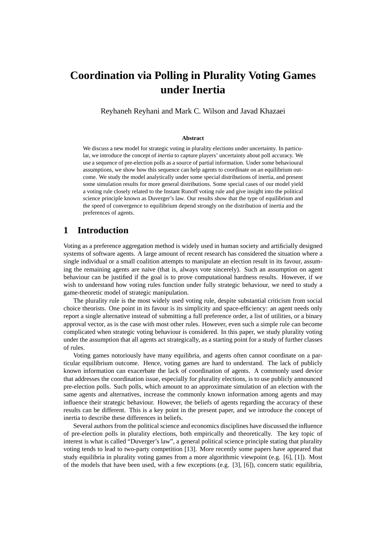# **Coordination via Polling in Plurality Voting Games under Inertia**

Reyhaneh Reyhani and Mark C. Wilson and Javad Khazaei

#### **Abstract**

We discuss a new model for strategic voting in plurality elections under uncertainty. In particular, we introduce the concept of *inertia* to capture players' uncertainty about poll accuracy. We use a sequence of pre-election polls as a source of partial information. Under some behavioural assumptions, we show how this sequence can help agents to coordinate on an equilibrium outcome. We study the model analytically under some special distributions of inertia, and present some simulation results for more general distributions. Some special cases of our model yield a voting rule closely related to the Instant Runoff voting rule and give insight into the political science principle known as Duverger's law. Our results show that the type of equilibrium and the speed of convergence to equilibrium depend strongly on the distribution of inertia and the preferences of agents.

# **1 Introduction**

Voting as a preference aggregation method is widely used in human society and artificially designed systems of software agents. A large amount of recent research has considered the situation where a single individual or a small coalition attempts to manipulate an election result in its favour, assuming the remaining agents are naive (that is, always vote sincerely). Such an assumption on agent behaviour can be justified if the goal is to prove computational hardness results. However, if we wish to understand how voting rules function under fully strategic behaviour, we need to study a game-theoretic model of strategic manipulation.

The plurality rule is the most widely used voting rule, despite substantial criticism from social choice theorists. One point in its favour is its simplicity and space-efficiency: an agent needs only report a single alternative instead of submitting a full preference order, a list of utilities, or a binary approval vector, as is the case with most other rules. However, even such a simple rule can become complicated when strategic voting behaviour is considered. In this paper, we study plurality voting under the assumption that all agents act strategically, as a starting point for a study of further classes of rules.

Voting games notoriously have many equilibria, and agents often cannot coordinate on a particular equilibrium outcome. Hence, voting games are hard to understand. The lack of publicly known information can exacerbate the lack of coordination of agents. A commonly used device that addresses the coordination issue, especially for plurality elections, is to use publicly announced pre-election polls. Such polls, which amount to an approximate simulation of an election with the same agents and alternatives, increase the commonly known information among agents and may influence their strategic behaviour. However, the beliefs of agents regarding the accuracy of these results can be different. This is a key point in the present paper, and we introduce the concept of inertia to describe these differences in beliefs.

Several authors from the political science and economics disciplines have discussed the influence of pre-election polls in plurality elections, both empirically and theoretically. The key topic of interest is what is called "Duverger's law", a general political science principle stating that plurality voting tends to lead to two-party competition [13]. More recently some papers have appeared that study equilibria in plurality voting games from a more algorithmic viewpoint (e.g. [6], [1]). Most of the models that have been used, with a few exceptions (e.g. [3], [6]), concern static equilibria,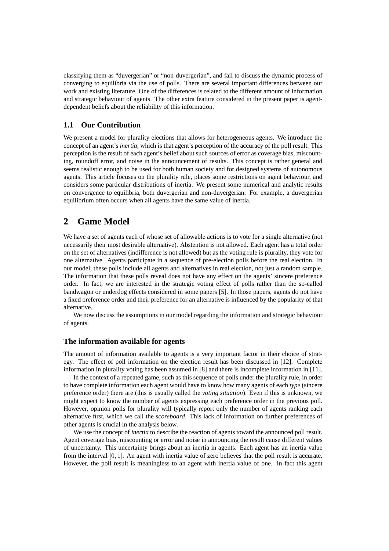classifying them as "duvergerian" or "non-duvergerian", and fail to discuss the dynamic process of converging to equilibria via the use of polls. There are several important differences between our work and existing literature. One of the differences is related to the different amount of information and strategic behaviour of agents. The other extra feature considered in the present paper is agentdependent beliefs about the reliability of this information.

## **1.1 Our Contribution**

We present a model for plurality elections that allows for heterogeneous agents. We introduce the concept of an agent's *inertia*, which is that agent's perception of the accuracy of the poll result. This perception is the result of each agent's belief about such sources of error as coverage bias, miscounting, roundoff error, and noise in the announcement of results. This concept is rather general and seems realistic enough to be used for both human society and for designed systems of autonomous agents. This article focuses on the plurality rule, places some restrictions on agent behaviour, and considers some particular distributions of inertia. We present some numerical and analytic results on convergence to equilibria, both duvergerian and non-duvergerian. For example, a duvergerian equilibrium often occurs when all agents have the same value of inertia.

# **2 Game Model**

We have a set of agents each of whose set of allowable actions is to vote for a single alternative (not necessarily their most desirable alternative). Abstention is not allowed. Each agent has a total order on the set of alternatives (indifference is not allowed) but as the voting rule is plurality, they vote for one alternative. Agents participate in a sequence of pre-election polls before the real election. In our model, these polls include all agents and alternatives in real election, not just a random sample. The information that these polls reveal does not have any effect on the agents' sincere preference order. In fact, we are interested in the strategic voting effect of polls rather than the so-called bandwagon or underdog effects considered in some papers [5]. In those papers, agents do not have a fixed preference order and their preference for an alternative is influenced by the popularity of that alternative.

We now discuss the assumptions in our model regarding the information and strategic behaviour of agents.

#### **The information available for agents**

The amount of information available to agents is a very important factor in their choice of strategy. The effect of poll information on the election result has been discussed in [12]. Complete information in plurality voting has been assumed in [8] and there is incomplete information in [11].

In the context of a repeated game, such as this sequence of polls under the plurality rule, in order to have complete information each agent would have to know how many agents of each *type* (sincere preference order) there are (this is usually called the *voting situation*). Even if this is unknown, we might expect to know the number of agents expressing each preference order in the previous poll. However, opinion polls for plurality will typically report only the number of agents ranking each alternative first, which we call the *scoreboard*. This lack of information on further preferences of other agents is crucial in the analysis below.

We use the concept of *inertia* to describe the reaction of agents toward the announced poll result. Agent coverage bias, miscounting or error and noise in announcing the result cause different values of uncertainty. This uncertainty brings about an inertia in agents. Each agent has an inertia value from the interval  $[0, 1]$ . An agent with inertia value of zero believes that the poll result is accurate. However, the poll result is meaningless to an agent with inertia value of one. In fact this agent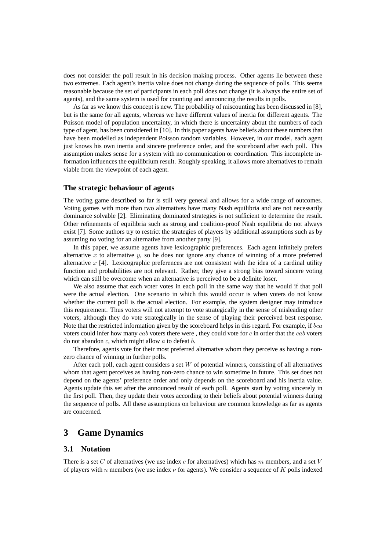does not consider the poll result in his decision making process. Other agents lie between these two extremes. Each agent's inertia value does not change during the sequence of polls. This seems reasonable because the set of participants in each poll does not change (it is always the entire set of agents), and the same system is used for counting and announcing the results in polls.

As far as we know this concept is new. The probability of miscounting has been discussed in [8], but is the same for all agents, whereas we have different values of inertia for different agents. The Poisson model of population uncertainty, in which there is uncertainty about the numbers of each type of agent, has been considered in [10]. In this paper agents have beliefs about these numbers that have been modelled as independent Poisson random variables. However, in our model, each agent just knows his own inertia and sincere preference order, and the scoreboard after each poll. This assumption makes sense for a system with no communication or coordination. This incomplete information influences the equilibrium result. Roughly speaking, it allows more alternatives to remain viable from the viewpoint of each agent.

#### **The strategic behaviour of agents**

The voting game described so far is still very general and allows for a wide range of outcomes. Voting games with more than two alternatives have many Nash equilibria and are not necessarily dominance solvable [2]. Eliminating dominated strategies is not sufficient to determine the result. Other refinements of equilibria such as strong and coalition-proof Nash equilibria do not always exist [7]. Some authors try to restrict the strategies of players by additional assumptions such as by assuming no voting for an alternative from another party [9].

In this paper, we assume agents have lexicographic preferences. Each agent infinitely prefers alternative x to alternative  $y$ , so he does not ignore any chance of winning of a more preferred alternative  $x$  [4]. Lexicographic preferences are not consistent with the idea of a cardinal utility function and probabilities are not relevant. Rather, they give a strong bias toward sincere voting which can still be overcome when an alternative is perceived to be a definite loser.

We also assume that each voter votes in each poll in the same way that he would if that poll were the actual election. One scenario in which this would occur is when voters do not know whether the current poll is the actual election. For example, the system designer may introduce this requirement. Thus voters will not attempt to vote strategically in the sense of misleading other voters, although they do vote strategically in the sense of playing their perceived best response. Note that the restricted information given by the scoreboard helps in this regard. For example, if bca voters could infer how many cab voters there were, they could vote for c in order that the cab voters do not abandon  $c$ , which might allow  $a$  to defeat  $b$ .

Therefore, agents vote for their most preferred alternative whom they perceive as having a nonzero chance of winning in further polls.

After each poll, each agent considers a set  $W$  of potential winners, consisting of all alternatives whom that agent perceives as having non-zero chance to win sometime in future. This set does not depend on the agents' preference order and only depends on the scoreboard and his inertia value. Agents update this set after the announced result of each poll. Agents start by voting sincerely in the first poll. Then, they update their votes according to their beliefs about potential winners during the sequence of polls. All these assumptions on behaviour are common knowledge as far as agents are concerned.

## **3 Game Dynamics**

## **3.1 Notation**

There is a set  $C$  of alternatives (we use index  $c$  for alternatives) which has  $m$  members, and a set  $V$ of players with n members (we use index  $\nu$  for agents). We consider a sequence of K polls indexed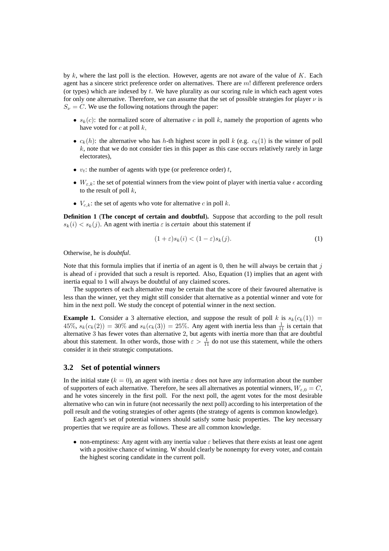by  $k$ , where the last poll is the election. However, agents are not aware of the value of  $K$ . Each agent has a sincere strict preference order on alternatives. There are  $m!$  different preference orders (or types) which are indexed by  $t$ . We have plurality as our scoring rule in which each agent votes for only one alternative. Therefore, we can assume that the set of possible strategies for player  $\nu$  is  $S_{\nu} = C$ . We use the following notations through the paper:

- $s_k(c)$ : the normalized score of alternative c in poll k, namely the proportion of agents who have voted for  $c$  at poll  $k$ ,
- $c_k(h)$ : the alternative who has h-th highest score in poll k (e.g.  $c_k(1)$ ) is the winner of poll  $k$ , note that we do not consider ties in this paper as this case occurs relatively rarely in large electorates),
- $v_t$ : the number of agents with type (or preference order) t,
- $W_{\varepsilon,k}$ : the set of potential winners from the view point of player with inertia value  $\epsilon$  according to the result of poll  $k$ .
- $V_{c,k}$ : the set of agents who vote for alternative c in poll k.

**Definition 1** (**The concept of certain and doubtful**)**.** Suppose that according to the poll result  $s_k(i) < s_k(j)$ . An agent with inertia  $\varepsilon$  is *certain* about this statement if

$$
(1+\varepsilon)s_k(i) < (1-\varepsilon)s_k(j). \tag{1}
$$

Otherwise, he is *doubtful*.

Note that this formula implies that if inertia of an agent is 0, then he will always be certain that  $j$ is ahead of i provided that such a result is reported. Also, Equation  $(1)$  implies that an agent with inertia equal to 1 will always be doubtful of any claimed scores.

The supporters of each alternative may be certain that the score of their favoured alternative is less than the winner, yet they might still consider that alternative as a potential winner and vote for him in the next poll. We study the concept of potential winner in the next section.

**Example 1.** Consider a 3 alternative election, and suppose the result of poll k is  $s_k(c_k(1)) =$ 45%,  $s_k(c_k(2)) = 30\%$  and  $s_k(c_k(3)) = 25\%$ . Any agent with inertia less than  $\frac{1}{11}$  is certain that alternative 3 has fewer votes than alternative 2, but agents with inertia more than that are doubtful about this statement. In other words, those with  $\varepsilon > \frac{1}{11}$  do not use this statement, while the others consider it in their strategic computations.

## **3.2 Set of potential winners**

In the initial state ( $k = 0$ ), an agent with inertia  $\varepsilon$  does not have any information about the number of supporters of each alternative. Therefore, he sees all alternatives as potential winners,  $W_{\varepsilon,0} = C$ , and he votes sincerely in the first poll. For the next poll, the agent votes for the most desirable alternative who can win in future (not necessarily the next poll) according to his interpretation of the poll result and the voting strategies of other agents (the strategy of agents is common knowledge).

Each agent's set of potential winners should satisfy some basic properties. The key necessary properties that we require are as follows. These are all common knowledge.

• non-emptiness: Any agent with any inertia value  $\varepsilon$  believes that there exists at least one agent with a positive chance of winning. W should clearly be nonempty for every voter, and contain the highest scoring candidate in the current poll.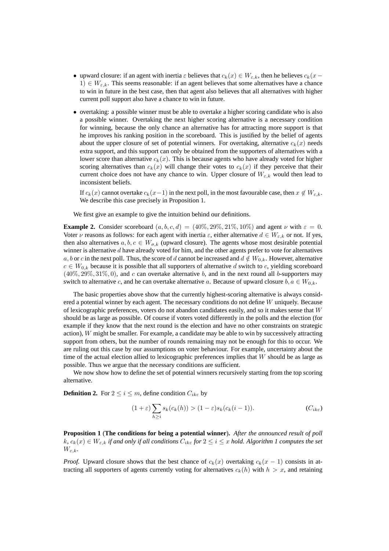- upward closure: if an agent with inertia  $\varepsilon$  believes that  $c_k(x) \in W_{\varepsilon,k}$ , then he believes  $c_k(x 1) \in W_{\varepsilon,k}$ . This seems reasonable: if an agent believes that some alternatives have a chance to win in future in the best case, then that agent also believes that all alternatives with higher current poll support also have a chance to win in future.
- overtaking: a possible winner must be able to overtake a higher scoring candidate who is also a possible winner. Overtaking the next higher scoring alternative is a necessary condition for winning, because the only chance an alternative has for attracting more support is that he improves his ranking position in the scoreboard. This is justified by the belief of agents about the upper closure of set of potential winners. For overtaking, alternative  $c_k(x)$  needs extra support, and this support can only be obtained from the supporters of alternatives with a lower score than alternative  $c_k(x)$ . This is because agents who have already voted for higher scoring alternatives than  $c_k(x)$  will change their votes to  $c_k(x)$  if they perceive that their current choice does not have any chance to win. Upper closure of  $W_{\varepsilon,k}$  would then lead to inconsistent beliefs.

If  $c_k(x)$  cannot overtake  $c_k(x-1)$  in the next poll, in the most favourable case, then  $x \notin W_{\varepsilon,k}$ . We describe this case precisely in Proposition 1.

We first give an example to give the intuition behind our definitions.

**Example 2.** Consider scoreboard  $(a, b, c, d) = (40\%, 29\%, 21\%, 10\%)$  and agent  $\nu$  with  $\varepsilon = 0$ . Voter  $\nu$  reasons as follows: for each agent with inertia  $\varepsilon$ , either alternative  $d \in W_{\varepsilon,k}$  or not. If yes, then also alternatives  $a, b, c \in W_{\sigma,k}$  (upward closure). The agents whose most desirable potential winner is alternative  $d$  have already voted for him, and the other agents prefer to vote for alternatives a, b or c in the next poll. Thus, the score of d cannot be increased and  $d \notin W_{0,k}$ . However, alternative  $c \in W_{0,k}$  because it is possible that all supporters of alternative d switch to c, yielding scoreboard  $(40\%, 29\%, 31\%, 0)$ , and c can overtake alternative b, and in the next round all b-supporters may switch to alternative c, and he can overtake alternative a. Because of upward closure  $b, a \in W_{0,k}$ .

The basic properties above show that the currently highest-scoring alternative is always considered a potential winner by each agent. The necessary conditions do not define W uniquely. Because of lexicographic preferences, voters do not abandon candidates easily, and so it makes sense that  $W$ should be as large as possible. Of course if voters voted differently in the polls and the election (for example if they know that the next round is the election and have no other constraints on strategic action), W might be smaller. For example, a candidate may be able to win by successively attracting support from others, but the number of rounds remaining may not be enough for this to occur. We are ruling out this case by our assumptions on voter behaviour. For example, uncertainty about the time of the actual election allied to lexicographic preferences implies that  $W$  should be as large as possible. Thus we argue that the necessary conditions are sufficient.

We now show how to define the set of potential winners recursively starting from the top scoring alternative.

**Definition 2.** For  $2 \le i \le m$ , define condition  $C_{ik\varepsilon}$  by

$$
(1+\varepsilon)\sum_{h\geq i} s_k(c_k(h)) > (1-\varepsilon)s_k(c_k(i-1)).\tag{C_{ik\varepsilon}}
$$

**Proposition 1** (**The conditions for being a potential winner**)**.** *After the announced result of poll*  $k, c_k(x) \in W_{\varepsilon,k}$  *if and only if all conditions*  $C_{ik\varepsilon}$  *for*  $2 \leq i \leq x$  *hold. Algorithm 1 computes the set*  $W_{\varepsilon,k}$ .

*Proof.* Upward closure shows that the best chance of  $c_k(x)$  overtaking  $c_k(x - 1)$  consists in attracting all supporters of agents currently voting for alternatives  $c_k(h)$  with  $h > x$ , and retaining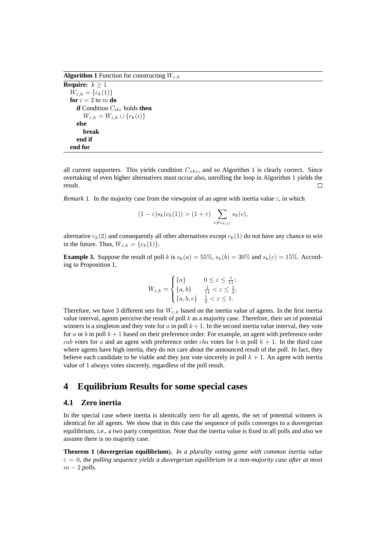**Algorithm 1** Function for constructing  $W_{\varepsilon,k}$ 

**Require:**  $k > 1$  $W_{\varepsilon,k} = \{c_k(1)\}\$ **for**  $i = 2$  to  $m$  **do if** Condition Cikε holds **then**  $W_{\varepsilon,k} = W_{\varepsilon,k} \cup \{c_k(i)\}\$ **else break end if end for**

all current supporters. This yields condition  $C_{xk\varepsilon}$ , and so Algorithm 1 is clearly correct. Since overtaking of even higher alternatives must occur also, unrolling the loop in Algorithm 1 yields the result.  $\Box$ 

*Remark* 1. In the majority case from the viewpoint of an agent with inertia value  $\varepsilon$ , in which

$$
(1 - \varepsilon)s_k(c_k(1)) > (1 + \varepsilon) \sum_{c \neq c_{k(1)}} s_k(c),
$$

alternative  $c_k(2)$  and consequently all other alternatives except  $c_k(1)$  do not have any chance to win in the future. Thus,  $W_{\varepsilon,k} = \{c_k(1)\}.$ 

**Example 3.** Suppose the result of poll k is  $s_k(a) = 55\%, s_k(b) = 30\%$  and  $s_k(c) = 15\%$ . According to Proposition 1,

$$
W_{\varepsilon,k} = \begin{cases} \{a\} & 0 \le \varepsilon \le \frac{1}{11}; \\ \{a,b\} & \frac{1}{11} < \varepsilon \le \frac{1}{3}; \\ \{a,b,c\} & \frac{1}{3} < \varepsilon \le 1. \end{cases}
$$

Therefore, we have 3 different sets for  $W_{\varepsilon,k}$  based on the inertia value of agents. In the first inertia value interval, agents perceive the result of poll  $k$  as a majority case. Therefore, their set of potential winners is a singleton and they vote for a in poll  $k+1$ . In the second inertia value interval, they vote for a or b in poll  $k+1$  based on their preference order. For example, an agent with preference order cab votes for a and an agent with preference order cba votes for b in poll  $k + 1$ . In the third case where agents have high inertia, they do not care about the announced result of the poll. In fact, they believe each candidate to be viable and they just vote sincerely in poll  $k + 1$ . An agent with inertia value of 1 always votes sincerely, regardless of the poll result.

# **4 Equilibrium Results for some special cases**

## **4.1 Zero inertia**

In the special case where inertia is identically zero for all agents, the set of potential winners is identical for all agents. We show that in this case the sequence of polls converges to a duvergerian equilibrium, i.e., a two party competition. Note that the inertia value is fixed in all polls and also we assume there is no majority case.

**Theorem 1** (**duvergerian equilibrium**)**.** *In a plurality voting game with common inertia value*  $\varepsilon = 0$ , the polling sequence yields a duvergerian equilibrium in a non-majority case after at most  $m - 2$  *polls.*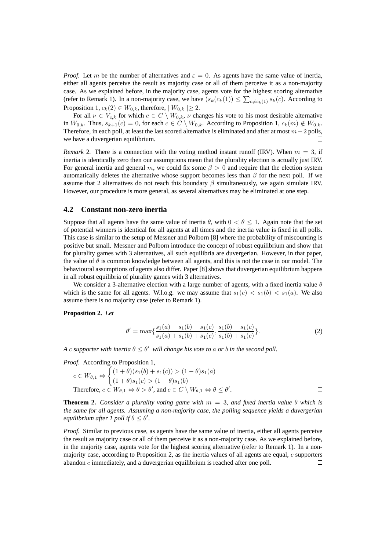*Proof.* Let m be the number of alternatives and  $\varepsilon = 0$ . As agents have the same value of inertia, either all agents perceive the result as majority case or all of them perceive it as a non-majority case. As we explained before, in the majority case, agents vote for the highest scoring alternative (refer to Remark 1). In a non-majority case, we have  $(s_k(c_k(1)) \leq \sum_{c \neq c_k(1)} s_k(c)$ . According to Proposition 1,  $c_k(2) \in W_{0,k}$ , therefore,  $|W_{0,k}| \geq 2$ .

For all  $\nu \in V_{c,k}$  for which  $c \in C \setminus W_{0,k}$ ,  $\nu$  changes his vote to his most desirable alternative in  $W_{0,k}$ . Thus,  $s_{k+1}(c) = 0$ , for each  $c \in C \setminus W_{0,k}$ . According to Proposition 1,  $c_k(m) \notin W_{0,k}$ . Therefore, in each poll, at least the last scored alternative is eliminated and after at most  $m-2$  polls, we have a duvergerian equilibrium.

*Remark* 2. There is a connection with the voting method instant runoff (IRV). When  $m = 3$ , if inertia is identically zero then our assumptions mean that the plurality election is actually just IRV. For general inertia and general m, we could fix some  $\beta > 0$  and require that the election system automatically deletes the alternative whose support becomes less than  $\beta$  for the next poll. If we assume that 2 alternatives do not reach this boundary  $\beta$  simultaneously, we again simulate IRV. However, our procedure is more general, as several alternatives may be eliminated at one step.

#### **4.2 Constant non-zero inertia**

Suppose that all agents have the same value of inertia  $\theta$ , with  $0 < \theta \leq 1$ . Again note that the set of potential winners is identical for all agents at all times and the inertia value is fixed in all polls. This case is similar to the setup of Messner and Polborn [8] where the probability of miscounting is positive but small. Messner and Polborn introduce the concept of robust equilibrium and show that for plurality games with 3 alternatives, all such equilibria are duvergerian. However, in that paper, the value of  $\theta$  is common knowledge between all agents, and this is not the case in our model. The behavioural assumptions of agents also differ. Paper [8] shows that duvergerian equilibrium happens in all robust equilibria of plurality games with 3 alternatives.

We consider a 3-alternative election with a large number of agents, with a fixed inertia value  $\theta$ which is the same for all agents. W.l.o.g. we may assume that  $s_1(c) < s_1(b) < s_1(a)$ . We also assume there is no majority case (refer to Remark 1).

**Proposition 2.** *Let*

$$
\theta' = \max\{\frac{s_1(a) - s_1(b) - s_1(c)}{s_1(a) + s_1(b) + s_1(c)}, \frac{s_1(b) - s_1(c)}{s_1(b) + s_1(c)}\}.
$$
\n(2)

*A* c supporter with inertia  $\theta \leq \theta'$  will change his vote to a or b in the second poll.

*Proof.* According to Proposition 1,

$$
c \in W_{\theta,1} \Leftrightarrow \begin{cases} (1+\theta)(s_1(b) + s_1(c)) > (1-\theta)s_1(a) \\ (1+\theta)s_1(c) > (1-\theta)s_1(b) \end{cases}
$$
\nTherefore,  $c \in W_{\theta,1} \Leftrightarrow \theta > \theta'$ , and  $c \in C \setminus W_{\theta,1} \Leftrightarrow \theta \le \theta'$ .

**Theorem 2.** *Consider a plurality voting game with*  $m = 3$ *, and fixed inertia value*  $\theta$  *which is the same for all agents. Assuming a non-majority case, the polling sequence yields a duvergerian equilibrium after 1 poll if*  $\theta \le \theta'$ .

*Proof.* Similar to previous case, as agents have the same value of inertia, either all agents perceive the result as majority case or all of them perceive it as a non-majority case. As we explained before, in the majority case, agents vote for the highest scoring alternative (refer to Remark 1). In a nonmajority case, according to Proposition 2, as the inertia values of all agents are equal,  $c$  supporters abandon  $c$  immediately, and a duvergerian equilibrium is reached after one poll.  $\Box$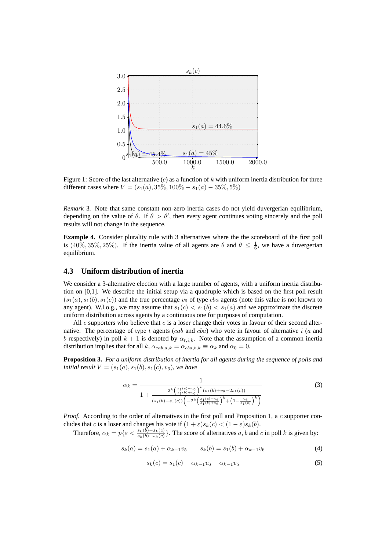

Figure 1: Score of the last alternative  $(c)$  as a function of k with uniform inertia distribution for three different cases where  $V = (s_1(a), 35\%, 100\% - s_1(a) - 35\%, 5\%)$ 

*Remark* 3*.* Note that same constant non-zero inertia cases do not yield duvergerian equilibrium, depending on the value of  $\theta$ . If  $\theta > \theta'$ , then every agent continues voting sincerely and the poll results will not change in the sequence.

**Example 4.** Consider plurality rule with 3 alternatives where the the scoreboard of the first poll is (40%, 35%, 25%). If the inertia value of all agents are  $\theta$  and  $\theta \leq \frac{1}{6}$ , we have a duvergerian equilibrium.

## **4.3 Uniform distribution of inertia**

We consider a 3-alternative election with a large number of agents, with a uniform inertia distribution on [0,1]. We describe the initial setup via a quadruple which is based on the first poll result  $(s_1(a), s_1(b), s_1(c))$  and the true percentage  $v_6$  of type *cba* agents (note this value is not known to any agent). W.l.o.g., we may assume that  $s_1(c) < s_1(b) < s_1(a)$  and we approximate the discrete uniform distribution across agents by a continuous one for purposes of computation.

All c supporters who believe that  $c$  is a loser change their votes in favour of their second alternative. The percentage of type  $t$  agents (cab and cba) who vote in favour of alternative  $i$  (a and b respectively) in poll  $k + 1$  is denoted by  $\alpha_{t,i,k}$ . Note that the assumption of a common inertia distribution implies that for all k,  $\alpha_{cab,a,k} = \alpha_{cba,b,k} \equiv \alpha_k$  and  $\alpha_0 = 0$ .

**Proposition 3.** *For a uniform distribution of inertia for all agents during the sequence of polls and initial result*  $V = (s_1(a), s_1(b), s_1(c), v_6)$ *, we have* 

$$
\alpha_k = \frac{1}{1 + \frac{2^k \left(\frac{s_1(c) - v_6}{s_1(b) + v_6}\right)^k (s_1(b) + v_6 - 2s_1(c))}{(s_1(b) - s_1(c)) \left(-2^k \left(\frac{s_1(c) - v_6}{s_1(b) + v_6}\right)^k + \left(1 - \frac{v_6}{s_1(c)}\right)^k\right)}}
$$
(3)

*Proof.* According to the order of alternatives in the first poll and Proposition 1, a c supporter concludes that c is a loser and changes his vote if  $(1 + \varepsilon)s_k(c) < (1 - \varepsilon)s_k(b)$ .

Therefore,  $\alpha_k = p\{\varepsilon < \frac{s_k(b) - s_k(c)}{s_k(b) + s_k(c)}\}$ . The score of alternatives a, b and c in poll k is given by:

$$
s_k(a) = s_1(a) + \alpha_{k-1}v_5 \qquad s_k(b) = s_1(b) + \alpha_{k-1}v_6 \tag{4}
$$

$$
s_k(c) = s_1(c) - \alpha_{k-1}v_6 - \alpha_{k-1}v_5 \tag{5}
$$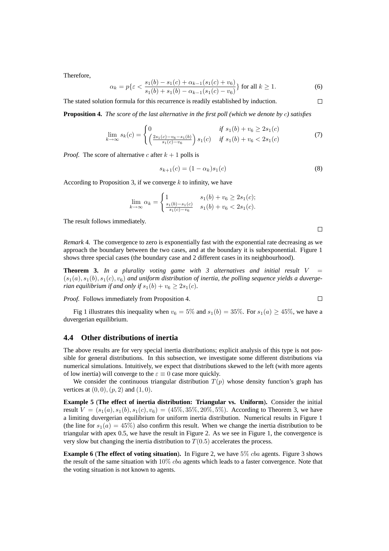Therefore,

$$
\alpha_k = p\{\varepsilon < \frac{s_1(b) - s_1(c) + \alpha_{k-1}(s_1(c) + v_6)}{s_1(b) + s_1(b) - \alpha_{k-1}(s_1(c) - v_6)}\} \text{ for all } k \ge 1. \tag{6}
$$

The stated solution formula for this recurrence is readily established by induction.

**Proposition 4.** *The score of the last alternative in the first poll (which we denote by* c*) satisfies*

$$
\lim_{k \to \infty} s_k(c) = \begin{cases} 0 & \text{if } s_1(b) + v_6 \ge 2s_1(c) \\ \left(\frac{2s_1(c) - v_6 - s_1(b)}{s_1(c) - v_6}\right)s_1(c) & \text{if } s_1(b) + v_6 < 2s_1(c) \end{cases} \tag{7}
$$

*Proof.* The score of alternative c after  $k + 1$  polls is

$$
s_{k+1}(c) = (1 - \alpha_k)s_1(c)
$$
 (8)

According to Proposition 3, if we converge  $k$  to infinity, we have

$$
\lim_{k \to \infty} \alpha_k = \begin{cases} 1 & s_1(b) + v_6 \ge 2s_1(c); \\ \frac{s_1(b) - s_1(c)}{s_1(c) - v_6} & s_1(b) + v_6 < 2s_1(c). \end{cases}
$$

The result follows immediately.

 $\Box$ 

 $\Box$ 

 $\Box$ 

*Remark* 4*.* The convergence to zero is exponentially fast with the exponential rate decreasing as we approach the boundary between the two cases, and at the boundary it is subexponential. Figure 1 shows three special cases (the boundary case and 2 different cases in its neighbourhood).

**Theorem 3.** In a plurality voting game with 3 alternatives and initial result  $V =$  $(s_1(a), s_1(b), s_1(c), v_6)$  and uniform distribution of inertia, the polling sequence yields a duverge*rian equilibrium if and only if*  $s_1(b) + v_6 \geq 2s_1(c)$ .

*Proof.* Follows immediately from Proposition 4.

Fig 1 illustrates this inequality when  $v_6 = 5\%$  and  $s_1(b) = 35\%$ . For  $s_1(a) \geq 45\%$ , we have a duvergerian equilibrium.

#### **4.4 Other distributions of inertia**

The above results are for very special inertia distributions; explicit analysis of this type is not possible for general distributions. In this subsection, we investigate some different distributions via numerical simulations. Intuitively, we expect that distributions skewed to the left (with more agents of low inertia) will converge to the  $\varepsilon \equiv 0$  case more quickly.

We consider the continuous triangular distribution  $T(p)$  whose density function's graph has vertices at  $(0, 0)$ ,  $(p, 2)$  and  $(1, 0)$ .

**Example 5** (**The effect of inertia distribution: Triangular vs. Uniform**)**.** Consider the initial result  $V = (s_1(a), s_1(b), s_1(c), v_6) = (45\%, 35\%, 20\%, 5\%)$ . According to Theorem 3, we have a limiting duvergerian equilibrium for uniform inertia distribution. Numerical results in Figure 1 (the line for  $s_1(a) = 45\%$ ) also confirm this result. When we change the inertia distribution to be triangular with apex 0.5, we have the result in Figure 2. As we see in Figure 1, the convergence is very slow but changing the inertia distribution to  $T(0.5)$  accelerates the process.

**Example 6** (**The effect of voting situation**)**.** In Figure 2, we have 5% cba agents. Figure 3 shows the result of the same situation with  $10\%$  cba agents which leads to a faster convergence. Note that the voting situation is not known to agents.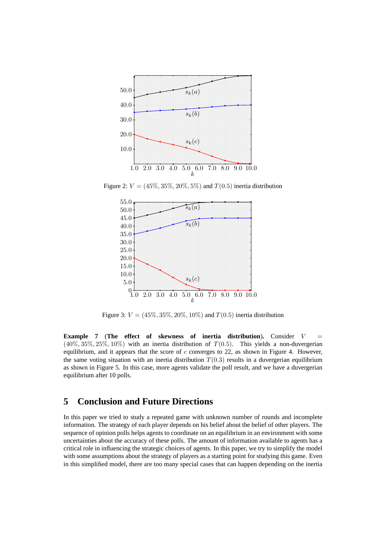

Figure 2:  $V = (45\%, 35\%, 20\%, 5\%)$  and  $T(0.5)$  inertia distribution



Figure 3:  $V = (45\%, 35\%, 20\%, 10\%)$  and  $T(0.5)$  inertia distribution

**Example 7** (The effect of skewness of inertia distribution). Consider V  $(40\%, 35\%, 25\%, 10\%)$  with an inertia distribution of  $T(0.5)$ . This yields a non-duvergerian equilibrium, and it appears that the score of  $c$  converges to 22, as shown in Figure 4. However, the same voting situation with an inertia distribution  $T(0.3)$  results in a duvergerian equilibrium as shown in Figure 5. In this case, more agents validate the poll result, and we have a duvergerian equilibrium after 10 polls.

# **5 Conclusion and Future Directions**

In this paper we tried to study a repeated game with unknown number of rounds and incomplete information. The strategy of each player depends on his belief about the belief of other players. The sequence of opinion polls helps agents to coordinate on an equilibrium in an environment with some uncertainties about the accuracy of these polls. The amount of information available to agents has a critical role in influencing the strategic choices of agents. In this paper, we try to simplify the model with some assumptions about the strategy of players as a starting point for studying this game. Even in this simplified model, there are too many special cases that can happen depending on the inertia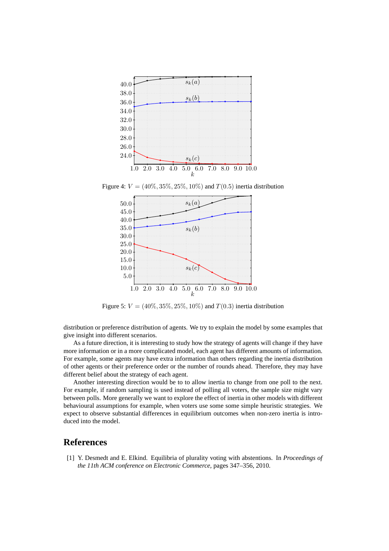

Figure 4:  $V = (40\%, 35\%, 25\%, 10\%)$  and  $T(0.5)$  inertia distribution



Figure 5:  $V = (40\%, 35\%, 25\%, 10\%)$  and  $T(0.3)$  inertia distribution

distribution or preference distribution of agents. We try to explain the model by some examples that give insight into different scenarios.

As a future direction, it is interesting to study how the strategy of agents will change if they have more information or in a more complicated model, each agent has different amounts of information. For example, some agents may have extra information than others regarding the inertia distribution of other agents or their preference order or the number of rounds ahead. Therefore, they may have different belief about the strategy of each agent.

Another interesting direction would be to to allow inertia to change from one poll to the next. For example, if random sampling is used instead of polling all voters, the sample size might vary between polls. More generally we want to explore the effect of inertia in other models with different behavioural assumptions for example, when voters use some some simple heuristic strategies. We expect to observe substantial differences in equilibrium outcomes when non-zero inertia is introduced into the model.

# **References**

[1] Y. Desmedt and E. Elkind. Equilibria of plurality voting with abstentions. In *Proceedings of the 11th ACM conference on Electronic Commerce*, pages 347–356, 2010.